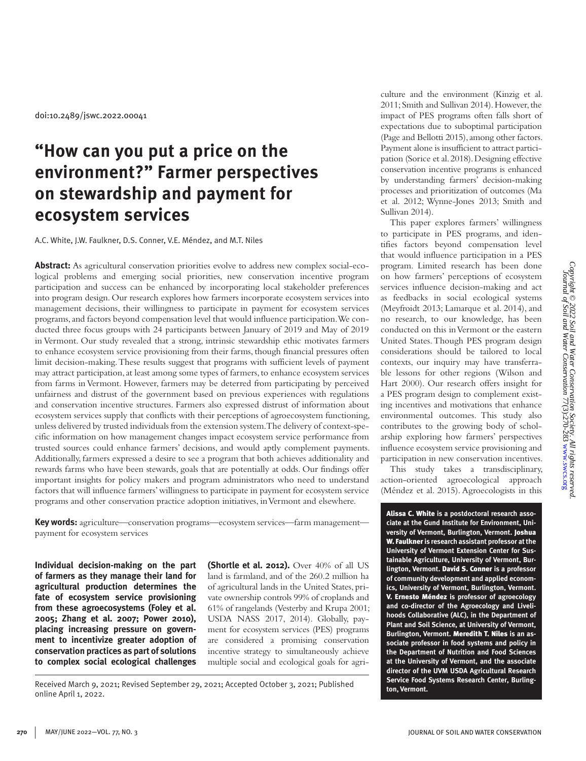doi:10.2489/jswc.2022.00041

# **"How can you put a price on the environment?" Farmer perspectives on stewardship and payment for ecosystem services**

A.C. White, J.W. Faulkner, D.S. Conner, V.E. Méndez, and M.T. Niles

**Abstract:** As agricultural conservation priorities evolve to address new complex social-ecological problems and emerging social priorities, new conservation incentive program participation and success can be enhanced by incorporating local stakeholder preferences into program design. Our research explores how farmers incorporate ecosystem services into management decisions, their willingness to participate in payment for ecosystem services programs, and factors beyond compensation level that would influence participation. We conducted three focus groups with 24 participants between January of 2019 and May of 2019 in Vermont. Our study revealed that a strong, intrinsic stewardship ethic motivates farmers to enhance ecosystem service provisioning from their farms, though financial pressures often limit decision-making. These results suggest that programs with sufficient levels of payment may attract participation, at least among some types of farmers, to enhance ecosystem services from farms in Vermont. However, farmers may be deterred from participating by perceived unfairness and distrust of the government based on previous experiences with regulations and conservation incentive structures. Farmers also expressed distrust of information about ecosystem services supply that conflicts with their perceptions of agroecosystem functioning, unless delivered by trusted individuals from the extension system. The delivery of context-specific information on how management changes impact ecosystem service performance from trusted sources could enhance farmers' decisions, and would aptly complement payments. Additionally, farmers expressed a desire to see a program that both achieves additionality and rewards farms who have been stewards, goals that are potentially at odds. Our findings offer important insights for policy makers and program administrators who need to understand factors that will influence farmers' willingness to participate in payment for ecosystem service programs and other conservation practice adoption initiatives, in Vermont and elsewhere.

**Key words:** agriculture—conservation programs—ecosystem services—farm management payment for ecosystem services

**Individual decision-making on the part of farmers as they manage their land for agricultural production determines the fate of ecosystem service provisioning from these agroecosystems (Foley et al. 2005; Zhang et al. 2007; Power 2010), placing increasing pressure on government to incentivize greater adoption of conservation practices as part of solutions to complex social ecological challenges** 

**(Shortle et al. 2012).** Over 40% of all US land is farmland, and of the 260.2 million ha of agricultural lands in the United States, private ownership controls 99% of croplands and 61% of rangelands (Vesterby and Krupa 2001; USDA NASS 2017, 2014). Globally, payment for ecosystem services (PES) programs are considered a promising conservation incentive strategy to simultaneously achieve multiple social and ecological goals for agri-

Received March 9, 2021; Revised September 29, 2021; Accepted October 3, 2021; Published online April 1, 2022.

culture and the environment (Kinzig et al. 2011; Smith and Sullivan 2014). However, the impact of PES programs often falls short of expectations due to suboptimal participation (Page and Bellotti 2015), among other factors. Payment alone is insufficient to attract participation (Sorice et al. 2018). Designing effective conservation incentive programs is enhanced by understanding farmers' decision-making processes and prioritization of outcomes (Ma et al. 2012; Wynne-Jones 2013; Smith and Sullivan 2014).

This paper explores farmers' willingness to participate in PES programs, and identifies factors beyond compensation level that would influence participation in a PES program. Limited research has been done on how farmers' perceptions of ecosystem services influence decision-making and act as feedbacks in social ecological systems (Meyfroidt 2013; Lamarque et al. 2014), and no research, to our knowledge, has been conducted on this in Vermont or the eastern United States. Though PES program design considerations should be tailored to local contexts, our inquiry may have transferrable lessons for other regions (Wilson and Hart 2000). Our research offers insight for a PES program design to complement existing incentives and motivations that enhance environmental outcomes. This study also contributes to the growing body of scholarship exploring how farmers' perspectives influence ecosystem service provisioning and participation in new conservation incentives.

This study takes a transdisciplinary, action-oriented agroecological approach (Méndez et al. 2015). Agroecologists in this

Alissa C. White **is a postdoctoral research associate at the Gund Institute for Environment, University of Vermont, Burlington, Vermont.** Joshua W. Faulkner **is research assistant professor at the University of Vermont Extension Center for Sustainable Agriculture, University of Vermont, Burlington, Vermont.** David S. Conner **is a professor of community development and applied economics, University of Vermont, Burlington, Vermont.**  V. Ernesto Méndez **is professor of agroecology and co-director of the Agroecology and Livelihoods Collaborative (ALC), in the Department of Plant and Soil Science, at University of Vermont, Burlington, Vermont.** Meredith T. Niles **is an associate professor in food systems and policy in the Department of Nutrition and Food Sciences at the University of Vermont, and the associate director of the UVM USDA Agricultural Research Service Food Systems Research Center, Burlington, Vermont.**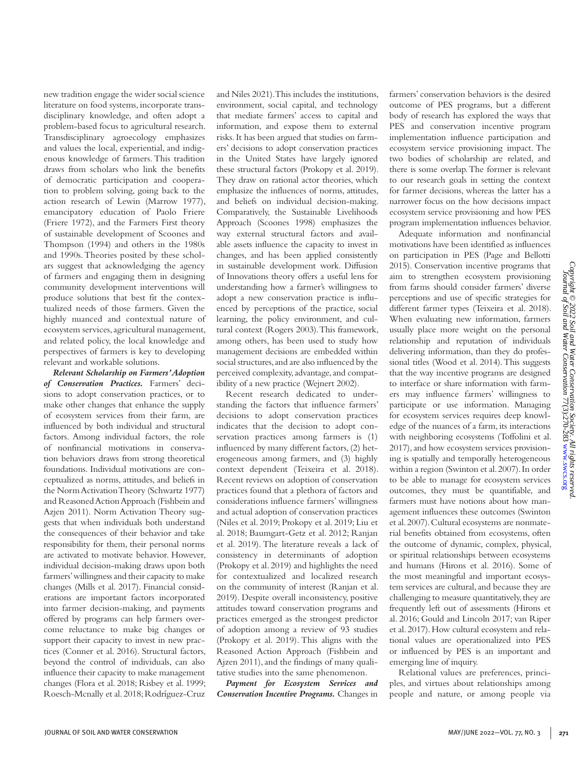new tradition engage the wider social science literature on food systems, incorporate transdisciplinary knowledge, and often adopt a problem-based focus to agricultural research. Transdisciplinary agroecology emphasizes and values the local, experiential, and indigenous knowledge of farmers. This tradition draws from scholars who link the benefits of democratic participation and cooperation to problem solving, going back to the action research of Lewin (Marrow 1977), emancipatory education of Paolo Friere (Friere 1972), and the Farmers First theory of sustainable development of Scoones and Thompson (1994) and others in the 1980s and 1990s. Theories posited by these scholars suggest that acknowledging the agency of farmers and engaging them in designing community development interventions will produce solutions that best fit the contextualized needs of those farmers. Given the highly nuanced and contextual nature of ecosystem services, agricultural management, and related policy, the local knowledge and perspectives of farmers is key to developing relevant and workable solutions.

*Relevant Scholarship on Farmers' Adoption of Conservation Practices.* Farmers' decisions to adopt conservation practices, or to make other changes that enhance the supply of ecosystem services from their farm, are influenced by both individual and structural factors. Among individual factors, the role of nonfinancial motivations in conservation behaviors draws from strong theoretical foundations. Individual motivations are conceptualized as norms, attitudes, and beliefs in the Norm Activation Theory (Schwartz 1977) and Reasoned Action Approach (Fishbein and Azjen 2011). Norm Activation Theory suggests that when individuals both understand the consequences of their behavior and take responsibility for them, their personal norms are activated to motivate behavior. However, individual decision-making draws upon both farmers' willingness and their capacity to make changes (Mills et al. 2017). Financial considerations are important factors incorporated into farmer decision-making, and payments offered by programs can help farmers overcome reluctance to make big changes or support their capacity to invest in new practices (Conner et al. 2016). Structural factors, beyond the control of individuals, can also influence their capacity to make management changes (Flora et al. 2018; Risbey et al. 1999; Roesch-Mcnally et al. 2018; Rodríguez-Cruz and Niles 2021). This includes the institutions, environment, social capital, and technology that mediate farmers' access to capital and information, and expose them to external risks. It has been argued that studies on farmers' decisions to adopt conservation practices in the United States have largely ignored these structural factors (Prokopy et al. 2019). They draw on rational actor theories, which emphasize the influences of norms, attitudes, and beliefs on individual decision-making. Comparatively, the Sustainable Livelihoods Approach (Scoones 1998) emphasizes the way external structural factors and available assets influence the capacity to invest in changes, and has been applied consistently in sustainable development work. Diffusion of Innovations theory offers a useful lens for understanding how a farmer's willingness to adopt a new conservation practice is influenced by perceptions of the practice, social learning, the policy environment, and cultural context (Rogers 2003). This framework, among others, has been used to study how management decisions are embedded within social structures, and are also influenced by the perceived complexity, advantage, and compatibility of a new practice (Wejnert 2002).

Recent research dedicated to understanding the factors that influence farmers' decisions to adopt conservation practices indicates that the decision to adopt conservation practices among farmers is (1) influenced by many different factors, (2) heterogeneous among farmers, and (3) highly context dependent (Teixeira et al. 2018). Recent reviews on adoption of conservation practices found that a plethora of factors and considerations influence farmers' willingness and actual adoption of conservation practices (Niles et al. 2019; Prokopy et al. 2019; Liu et al. 2018; Baumgart-Getz et al. 2012; Ranjan et al. 2019). The literature reveals a lack of consistency in determinants of adoption (Prokopy et al. 2019) and highlights the need for contextualized and localized research on the community of interest (Ranjan et al. 2019). Despite overall inconsistency, positive attitudes toward conservation programs and practices emerged as the strongest predictor of adoption among a review of 93 studies (Prokopy et al. 2019). This aligns with the Reasoned Action Approach (Fishbein and Ajzen 2011), and the findings of many qualitative studies into the same phenomenon.

*Payment for Ecosystem Services and Conservation Incentive Programs.* Changes in farmers' conservation behaviors is the desired outcome of PES programs, but a different body of research has explored the ways that PES and conservation incentive program implementation influence participation and ecosystem service provisioning impact. The two bodies of scholarship are related, and there is some overlap. The former is relevant to our research goals in setting the context for farmer decisions, whereas the latter has a narrower focus on the how decisions impact ecosystem service provisioning and how PES program implementation influences behavior.

Adequate information and nonfinancial motivations have been identified as influences on participation in PES (Page and Bellotti 2015). Conservation incentive programs that aim to strengthen ecosystem provisioning from farms should consider farmers' diverse perceptions and use of specific strategies for different farmer types (Teixeira et al. 2018). When evaluating new information, farmers usually place more weight on the personal relationship and reputation of individuals delivering information, than they do professional titles (Wood et al. 2014). This suggests that the way incentive programs are designed to interface or share information with farmers may influence farmers' willingness to participate or use information. Managing for ecosystem services requires deep knowledge of the nuances of a farm, its interactions with neighboring ecosystems (Toffolini et al. 2017), and how ecosystem services provisioning is spatially and temporally heterogeneous within a region (Swinton et al. 2007). In order to be able to manage for ecosystem services outcomes, they must be quantifiable, and farmers must have notions about how management influences these outcomes (Swinton et al. 2007). Cultural ecosystems are nonmaterial benefits obtained from ecosystems, often the outcome of dynamic, complex, physical, or spiritual relationships between ecosystems and humans (Hirons et al. 2016). Some of the most meaningful and important ecosystem services are cultural, and because they are challenging to measure quantitatively, they are frequently left out of assessments (Hirons et al. 2016; Gould and Lincoln 2017; van Riper et al. 2017). How cultural ecosystem and relational values are operationalized into PES or influenced by PES is an important and emerging line of inquiry.

Relational values are preferences, principles, and virtues about relationships among people and nature, or among people via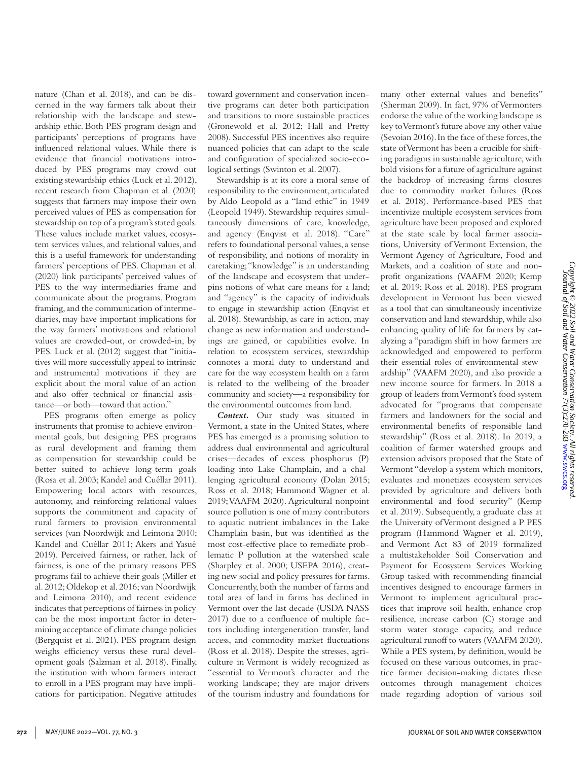Copyright © 2022 Soil and Water Conservation Society. All rights reserved<br>Uournal of Soil and Water Conservation 77(3):270-283 www.swcs.org *Copyright © 2022 Soil and Water Conservation Society. All rights reserved.* Journal of Soil and Water Conservation 77(3):270-283 [www.swcs.org](http://www.swcs.org)

nature (Chan et al. 2018), and can be discerned in the way farmers talk about their relationship with the landscape and stewardship ethic. Both PES program design and participants' perceptions of programs have influenced relational values. While there is evidence that financial motivations introduced by PES programs may crowd out existing stewardship ethics (Luck et al. 2012), recent research from Chapman et al. (2020) suggests that farmers may impose their own perceived values of PES as compensation for stewardship on top of a program's stated goals. These values include market values, ecosystem services values, and relational values, and this is a useful framework for understanding farmers' perceptions of PES. Chapman et al. (2020) link participants' perceived values of PES to the way intermediaries frame and communicate about the programs. Program framing, and the communication of intermediaries, may have important implications for the way farmers' motivations and relational values are crowded-out, or crowded-in, by PES. Luck et al. (2012) suggest that "initiatives will more successfully appeal to intrinsic and instrumental motivations if they are explicit about the moral value of an action and also offer technical or financial assistance—or both—toward that action."

PES programs often emerge as policy instruments that promise to achieve environmental goals, but designing PES programs as rural development and framing them as compensation for stewardship could be better suited to achieve long-term goals (Rosa et al. 2003; Kandel and Cuéllar 2011). Empowering local actors with resources, autonomy, and reinforcing relational values supports the commitment and capacity of rural farmers to provision environmental services (van Noordwijk and Leimona 2010; Kandel and Cuéllar 2011; Akers and Yasué 2019). Perceived fairness, or rather, lack of fairness, is one of the primary reasons PES programs fail to achieve their goals (Miller et al. 2012; Oldekop et al. 2016; van Noordwijk and Leimona 2010), and recent evidence indicates that perceptions of fairness in policy can be the most important factor in determining acceptance of climate change policies (Bergquist et al. 2021). PES program design weighs efficiency versus these rural development goals (Salzman et al. 2018). Finally, the institution with whom farmers interact to enroll in a PES program may have implications for participation. Negative attitudes

toward government and conservation incentive programs can deter both participation and transitions to more sustainable practices (Gronewold et al. 2012; Hall and Pretty 2008). Successful PES incentives also require nuanced policies that can adapt to the scale and configuration of specialized socio-ecological settings (Swinton et al. 2007).

Stewardship is at its core a moral sense of responsibility to the environment, articulated by Aldo Leopold as a "land ethic" in 1949 (Leopold 1949). Stewardship requires simultaneously dimensions of care, knowledge, and agency (Enqvist et al. 2018). "Care" refers to foundational personal values, a sense of responsibility, and notions of morality in caretaking; "knowledge" is an understanding of the landscape and ecosystem that underpins notions of what care means for a land; and "agency" is the capacity of individuals to engage in stewardship action (Enqvist et al. 2018). Stewardship, as care in action, may change as new information and understandings are gained, or capabilities evolve. In relation to ecosystem services, stewardship connotes a moral duty to understand and care for the way ecosystem health on a farm is related to the wellbeing of the broader community and society—a responsibility for the environmental outcomes from land.

*Context.* Our study was situated in Vermont, a state in the United States, where PES has emerged as a promising solution to address dual environmental and agricultural crises—decades of excess phosphorus (P) loading into Lake Champlain, and a challenging agricultural economy (Dolan 2015; Ross et al. 2018; Hammond Wagner et al. 2019; VAAFM 2020). Agricultural nonpoint source pollution is one of many contributors to aquatic nutrient imbalances in the Lake Champlain basin, but was identified as the most cost-effective place to remediate problematic P pollution at the watershed scale (Sharpley et al. 2000; USEPA 2016), creating new social and policy pressures for farms. Concurrently, both the number of farms and total area of land in farms has declined in Vermont over the last decade (USDA NASS 2017) due to a confluence of multiple factors including intergeneration transfer, land access, and commodity market fluctuations (Ross et al. 2018). Despite the stresses, agriculture in Vermont is widely recognized as "essential to Vermont's character and the working landscape; they are major drivers of the tourism industry and foundations for

many other external values and benefits" (Sherman 2009). In fact, 97% of Vermonters endorse the value of the working landscape as key to Vermont's future above any other value (Sevoian 2016). In the face of these forces, the state of Vermont has been a crucible for shifting paradigms in sustainable agriculture, with bold visions for a future of agriculture against the backdrop of increasing farms closures due to commodity market failures (Ross et al. 2018). Performance-based PES that incentivize multiple ecosystem services from agriculture have been proposed and explored at the state scale by local farmer associations, University of Vermont Extension, the Vermont Agency of Agriculture, Food and Markets, and a coalition of state and nonprofit organizations (VAAFM 2020; Kemp et al. 2019; Ross et al. 2018). PES program development in Vermont has been viewed as a tool that can simultaneously incentivize conservation and land stewardship, while also enhancing quality of life for farmers by catalyzing a "paradigm shift in how farmers are acknowledged and empowered to perform their essential roles of environmental stewardship" (VAAFM 2020), and also provide a new income source for farmers. In 2018 a group of leaders from Vermont's food system advocated for "programs that compensate farmers and landowners for the social and environmental benefits of responsible land stewardship" (Ross et al. 2018). In 2019, a coalition of farmer watershed groups and extension advisors proposed that the State of Vermont "develop a system which monitors, evaluates and monetizes ecosystem services provided by agriculture and delivers both environmental and food security" (Kemp et al. 2019). Subsequently, a graduate class at the University of Vermont designed a P PES program (Hammond Wagner et al. 2019), and Vermont Act 83 of 2019 formalized a multistakeholder Soil Conservation and Payment for Ecosystem Services Working Group tasked with recommending financial incentives designed to encourage farmers in Vermont to implement agricultural practices that improve soil health, enhance crop resilience, increase carbon (C) storage and storm water storage capacity, and reduce agricultural runoff to waters (VAAFM 2020). While a PES system, by definition, would be focused on these various outcomes, in practice farmer decision-making dictates these outcomes through management choices made regarding adoption of various soil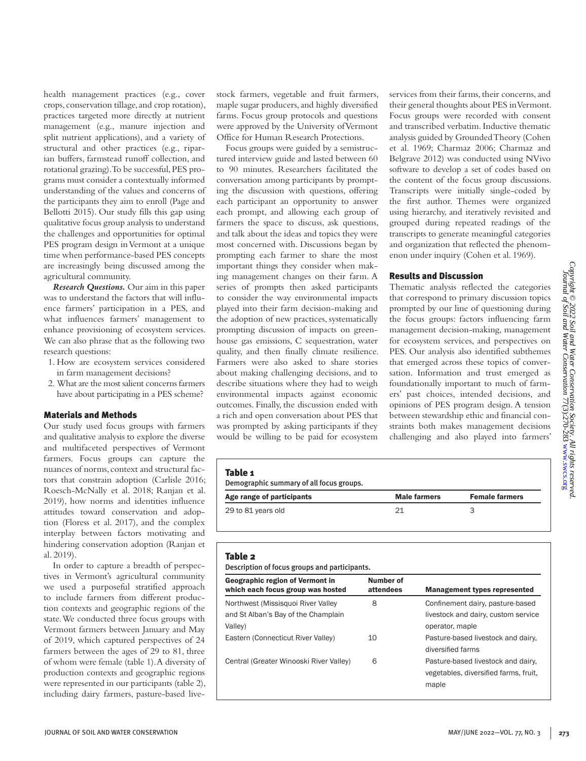health management practices (e.g., cover crops, conservation tillage, and crop rotation), practices targeted more directly at nutrient management (e.g., manure injection and split nutrient applications), and a variety of structural and other practices (e.g., riparian buffers, farmstead runoff collection, and rotational grazing). To be successful, PES programs must consider a contextually informed understanding of the values and concerns of the participants they aim to enroll (Page and Bellotti 2015). Our study fills this gap using qualitative focus group analysis to understand the challenges and opportunities for optimal PES program design in Vermont at a unique time when performance-based PES concepts are increasingly being discussed among the agricultural community.

*Research Questions.* Our aim in this paper was to understand the factors that will influence farmers' participation in a PES, and what influences farmers' management to enhance provisioning of ecosystem services. We can also phrase that as the following two research questions:

- 1. How are ecosystem services considered in farm management decisions?
- 2. What are the most salient concerns farmers have about participating in a PES scheme?

## Materials and Methods

Our study used focus groups with farmers and qualitative analysis to explore the diverse and multifaceted perspectives of Vermont farmers. Focus groups can capture the nuances of norms, context and structural factors that constrain adoption (Carlisle 2016; Roesch-McNally et al. 2018; Ranjan et al. 2019), how norms and identities influence attitudes toward conservation and adoption (Floress et al. 2017), and the complex interplay between factors motivating and hindering conservation adoption (Ranjan et al. 2019).

In order to capture a breadth of perspectives in Vermont's agricultural community we used a purposeful stratified approach to include farmers from different production contexts and geographic regions of the state. We conducted three focus groups with Vermont farmers between January and May of 2019, which captured perspectives of 24 farmers between the ages of 29 to 81, three of whom were female (table 1). A diversity of production contexts and geographic regions were represented in our participants (table 2), including dairy farmers, pasture-based livestock farmers, vegetable and fruit farmers, maple sugar producers, and highly diversified farms. Focus group protocols and questions were approved by the University of Vermont Office for Human Research Protections.

Focus groups were guided by a semistructured interview guide and lasted between 60 to 90 minutes. Researchers facilitated the conversation among participants by prompting the discussion with questions, offering each participant an opportunity to answer each prompt, and allowing each group of farmers the space to discuss, ask questions, and talk about the ideas and topics they were most concerned with. Discussions began by prompting each farmer to share the most important things they consider when making management changes on their farm. A series of prompts then asked participants to consider the way environmental impacts played into their farm decision-making and the adoption of new practices, systematically prompting discussion of impacts on greenhouse gas emissions, C sequestration, water quality, and then finally climate resilience. Farmers were also asked to share stories about making challenging decisions, and to describe situations where they had to weigh environmental impacts against economic outcomes. Finally, the discussion ended with a rich and open conversation about PES that was prompted by asking participants if they would be willing to be paid for ecosystem services from their farms, their concerns, and their general thoughts about PES in Vermont. Focus groups were recorded with consent and transcribed verbatim. Inductive thematic analysis guided by Grounded Theory (Cohen et al. 1969; Charmaz 2006; Charmaz and Belgrave 2012) was conducted using NVivo software to develop a set of codes based on the content of the focus group discussions. Transcripts were initially single-coded by the first author. Themes were organized using hierarchy, and iteratively revisited and grouped during repeated readings of the transcripts to generate meaningful categories and organization that reflected the phenomenon under inquiry (Cohen et al. 1969).

### Results and Discussion

Thematic analysis reflected the categories that correspond to primary discussion topics prompted by our line of questioning during the focus groups: factors influencing farm management decision-making, management for ecosystem services, and perspectives on PES. Our analysis also identified subthemes that emerged across these topics of conversation. Information and trust emerged as foundationally important to much of farmers' past choices, intended decisions, and opinions of PES program design. A tension between stewardship ethic and financial constraints both makes management decisions challenging and also played into farmers'

| Table 1<br>Demographic summary of all focus groups. |              |                       |  |
|-----------------------------------------------------|--------------|-----------------------|--|
| Age range of participants                           | Male farmers | <b>Female farmers</b> |  |
| 29 to 81 years old                                  | 21           | З                     |  |

# Table 2

Description of focus groups and participants.

| <b>Geographic region of Vermont in</b><br>which each focus group was hosted          | Number of<br>attendees | <b>Management types represented</b>                                                        |
|--------------------------------------------------------------------------------------|------------------------|--------------------------------------------------------------------------------------------|
| Northwest (Missisquoi River Valley<br>and St Alban's Bay of the Champlain<br>Valley) | 8                      | Confinement dairy, pasture-based<br>livestock and dairy, custom service<br>operator, maple |
| Eastern (Connecticut River Valley)                                                   | 10                     | Pasture-based livestock and dairy,<br>diversified farms                                    |
| Central (Greater Winooski River Valley)                                              | 6                      | Pasture-based livestock and dairy,<br>vegetables, diversified farms, fruit,<br>maple       |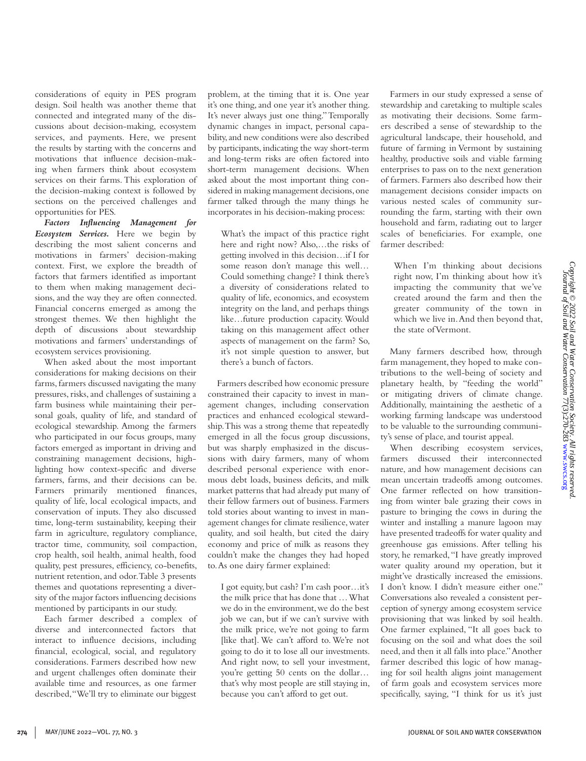considerations of equity in PES program design. Soil health was another theme that connected and integrated many of the discussions about decision-making, ecosystem services, and payments. Here, we present the results by starting with the concerns and motivations that influence decision-making when farmers think about ecosystem services on their farms. This exploration of the decision-making context is followed by sections on the perceived challenges and opportunities for PES.

*Factors Influencing Management for Ecosystem Services.* Here we begin by describing the most salient concerns and motivations in farmers' decision-making context. First, we explore the breadth of factors that farmers identified as important to them when making management decisions, and the way they are often connected. Financial concerns emerged as among the strongest themes. We then highlight the depth of discussions about stewardship motivations and farmers' understandings of ecosystem services provisioning.

When asked about the most important considerations for making decisions on their farms, farmers discussed navigating the many pressures, risks, and challenges of sustaining a farm business while maintaining their personal goals, quality of life, and standard of ecological stewardship. Among the farmers who participated in our focus groups, many factors emerged as important in driving and constraining management decisions, highlighting how context-specific and diverse farmers, farms, and their decisions can be. Farmers primarily mentioned finances, quality of life, local ecological impacts, and conservation of inputs. They also discussed time, long-term sustainability, keeping their farm in agriculture, regulatory compliance, tractor time, community, soil compaction, crop health, soil health, animal health, food quality, pest pressures, efficiency, co-benefits, nutrient retention, and odor. Table 3 presents themes and quotations representing a diversity of the major factors influencing decisions mentioned by participants in our study.

Each farmer described a complex of diverse and interconnected factors that interact to influence decisions, including financial, ecological, social, and regulatory considerations. Farmers described how new and urgent challenges often dominate their available time and resources, as one farmer described, "We'll try to eliminate our biggest problem, at the timing that it is. One year it's one thing, and one year it's another thing. It's never always just one thing." Temporally dynamic changes in impact, personal capability, and new conditions were also described by participants, indicating the way short-term and long-term risks are often factored into short-term management decisions. When asked about the most important thing considered in making management decisions, one farmer talked through the many things he incorporates in his decision-making process:

What's the impact of this practice right here and right now? Also,…the risks of getting involved in this decision…if I for some reason don't manage this well… Could something change? I think there's a diversity of considerations related to quality of life, economics, and ecosystem integrity on the land, and perhaps things like…future production capacity. Would taking on this management affect other aspects of management on the farm? So, it's not simple question to answer, but there's a bunch of factors.

Farmers described how economic pressure constrained their capacity to invest in management changes, including conservation practices and enhanced ecological stewardship. This was a strong theme that repeatedly emerged in all the focus group discussions, but was sharply emphasized in the discussions with dairy farmers, many of whom described personal experience with enormous debt loads, business deficits, and milk market patterns that had already put many of their fellow farmers out of business. Farmers told stories about wanting to invest in management changes for climate resilience, water quality, and soil health, but cited the dairy economy and price of milk as reasons they couldn't make the changes they had hoped to. As one dairy farmer explained:

I got equity, but cash? I'm cash poor…it's the milk price that has done that … What we do in the environment, we do the best job we can, but if we can't survive with the milk price, we're not going to farm [like that]. We can't afford to. We're not going to do it to lose all our investments. And right now, to sell your investment, you're getting 50 cents on the dollar… that's why most people are still staying in, because you can't afford to get out.

Farmers in our study expressed a sense of stewardship and caretaking to multiple scales as motivating their decisions. Some farmers described a sense of stewardship to the agricultural landscape, their household, and future of farming in Vermont by sustaining healthy, productive soils and viable farming enterprises to pass on to the next generation of farmers. Farmers also described how their management decisions consider impacts on various nested scales of community surrounding the farm, starting with their own household and farm, radiating out to larger scales of beneficiaries. For example, one farmer described:

When I'm thinking about decisions right now, I'm thinking about how it's impacting the community that we've created around the farm and then the greater community of the town in which we live in. And then beyond that, the state of Vermont.

Many farmers described how, through farm management, they hoped to make contributions to the well-being of society and planetary health, by "feeding the world" or mitigating drivers of climate change. Additionally, maintaining the aesthetic of a working farming landscape was understood to be valuable to the surrounding community's sense of place, and tourist appeal.

When describing ecosystem services, farmers discussed their interconnected nature, and how management decisions can mean uncertain tradeoffs among outcomes. One farmer reflected on how transitioning from winter bale grazing their cows in pasture to bringing the cows in during the winter and installing a manure lagoon may have presented tradeoffs for water quality and greenhouse gas emissions. After telling his story, he remarked, "I have greatly improved water quality around my operation, but it might've drastically increased the emissions. I don't know. I didn't measure either one." Conversations also revealed a consistent perception of synergy among ecosystem service provisioning that was linked by soil health. One farmer explained, "It all goes back to focusing on the soil and what does the soil need, and then it all falls into place." Another farmer described this logic of how managing for soil health aligns joint management of farm goals and ecosystem services more specifically, saying, "I think for us it's just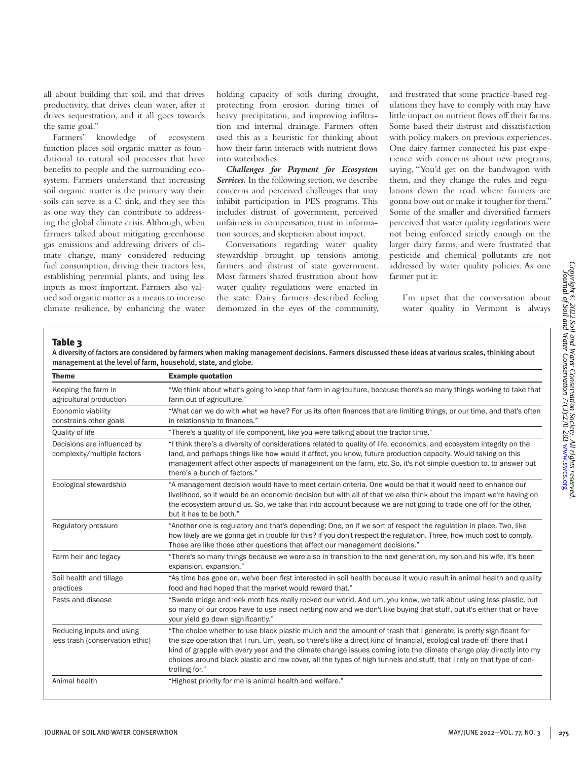all about building that soil, and that drives productivity, that drives clean water, after it drives sequestration, and it all goes towards the same goal."

Farmers' knowledge of ecosystem function places soil organic matter as foundational to natural soil processes that have benefits to people and the surrounding ecosystem. Farmers understand that increasing soil organic matter is the primary way their soils can serve as a C sink, and they see this as one way they can contribute to addressing the global climate crisis. Although, when farmers talked about mitigating greenhouse gas emissions and addressing drivers of climate change, many considered reducing fuel consumption, driving their tractors less, establishing perennial plants, and using less inputs as most important. Farmers also valued soil organic matter as a means to increase climate resilience, by enhancing the water

holding capacity of soils during drought, protecting from erosion during times of heavy precipitation, and improving infiltration and internal drainage. Farmers often used this as a heuristic for thinking about how their farm interacts with nutrient flows into waterbodies.

*Challenges for Payment for Ecosystem Services.* In the following section, we describe concerns and perceived challenges that may inhibit participation in PES programs. This includes distrust of government, perceived unfairness in compensation, trust in information sources, and skepticism about impact.

Conversations regarding water quality stewardship brought up tensions among farmers and distrust of state government. Most farmers shared frustration about how water quality regulations were enacted in the state. Dairy farmers described feeling demonized in the eyes of the community,

and frustrated that some practice-based regulations they have to comply with may have little impact on nutrient flows off their farms. Some based their distrust and dissatisfaction with policy makers on previous experiences. One dairy farmer connected his past experience with concerns about new programs, saying, "You'd get on the bandwagon with them, and they change the rules and regulations down the road where farmers are gonna bow out or make it tougher for them." Some of the smaller and diversified farmers perceived that water quality regulations were not being enforced strictly enough on the larger dairy farms, and were frustrated that pesticide and chemical pollutants are not addressed by water quality policies. As one farmer put it:

I'm upset that the conversation about water quality in Vermont is always

# Table 3

| A diversity of factors are considered by farmers when making management decisions. Farmers discussed these ideas at various scales, thinking about |  |
|----------------------------------------------------------------------------------------------------------------------------------------------------|--|
| management at the level of farm, household, state, and globe.                                                                                      |  |

| <b>Theme</b>                                                 | <b>Example quotation</b>                                                                                                                                                                                                                                                                                                                                                                                                                                                                                     |  |  |
|--------------------------------------------------------------|--------------------------------------------------------------------------------------------------------------------------------------------------------------------------------------------------------------------------------------------------------------------------------------------------------------------------------------------------------------------------------------------------------------------------------------------------------------------------------------------------------------|--|--|
| Keeping the farm in<br>agricultural production               | "We think about what's going to keep that farm in agriculture, because there's so many things working to take that<br>farm out of agriculture."                                                                                                                                                                                                                                                                                                                                                              |  |  |
| Economic viability<br>constrains other goals                 | "What can we do with what we have? For us its often finances that are limiting things, or our time, and that's often<br>in relationship to finances."                                                                                                                                                                                                                                                                                                                                                        |  |  |
| Quality of life                                              | "There's a quality of life component, like you were talking about the tractor time."                                                                                                                                                                                                                                                                                                                                                                                                                         |  |  |
| Decisions are influenced by<br>complexity/multiple factors   | "I think there's a diversity of considerations related to quality of life, economics, and ecosystem integrity on the<br>land, and perhaps things like how would it affect, you know, future production capacity. Would taking on this<br>management affect other aspects of management on the farm, etc. So, it's not simple question to, to answer but<br>there's a bunch of factors."                                                                                                                      |  |  |
| Ecological stewardship                                       | "A management decision would have to meet certain criteria. One would be that it would need to enhance our<br>livelihood, so it would be an economic decision but with all of that we also think about the impact we're having on<br>the ecosystem around us. So, we take that into account because we are not going to trade one off for the other,<br>but it has to be both."                                                                                                                              |  |  |
| Regulatory pressure                                          | "Another one is regulatory and that's depending: One, on if we sort of respect the regulation in place. Two, like<br>how likely are we gonna get in trouble for this? If you don't respect the regulation. Three, how much cost to comply.<br>Those are like those other questions that affect our management decisions."                                                                                                                                                                                    |  |  |
| Farm heir and legacy                                         | "There's so many things because we were also in transition to the next generation, my son and his wife, it's been<br>expansion, expansion."                                                                                                                                                                                                                                                                                                                                                                  |  |  |
| Soil health and tillage<br>practices                         | "As time has gone on, we've been first interested in soil health because it would result in animal health and quality<br>food and had hoped that the market would reward that."                                                                                                                                                                                                                                                                                                                              |  |  |
| Pests and disease                                            | "Swede midge and leek moth has really rocked our world. And um, you know, we talk about using less plastic, but<br>so many of our crops have to use insect netting now and we don't like buying that stuff, but it's either that or have<br>your yield go down significantly."                                                                                                                                                                                                                               |  |  |
| Reducing inputs and using<br>less trash (conservation ethic) | "The choice whether to use black plastic mulch and the amount of trash that I generate, is pretty significant for<br>the size operation that I run. Um, yeah, so there's like a direct kind of financial, ecological trade-off there that I<br>kind of grapple with every year and the climate change issues coming into the climate change play directly into my<br>choices around black plastic and row cover, all the types of high tunnels and stuff, that I rely on that type of con-<br>trolling for." |  |  |
| Animal health                                                | "Highest priority for me is animal health and welfare."                                                                                                                                                                                                                                                                                                                                                                                                                                                      |  |  |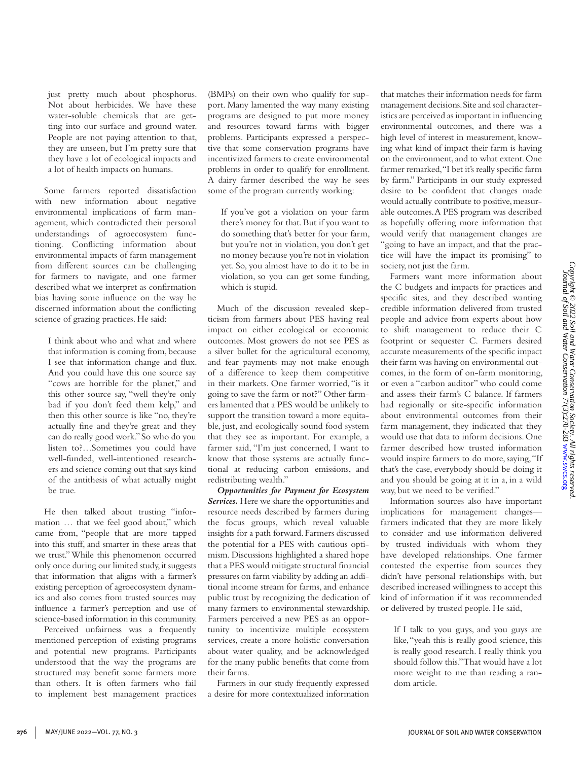just pretty much about phosphorus. Not about herbicides. We have these water-soluble chemicals that are getting into our surface and ground water. People are not paying attention to that, they are unseen, but I'm pretty sure that they have a lot of ecological impacts and a lot of health impacts on humans.

Some farmers reported dissatisfaction with new information about negative environmental implications of farm management, which contradicted their personal understandings of agroecosystem functioning. Conflicting information about environmental impacts of farm management from different sources can be challenging for farmers to navigate, and one farmer described what we interpret as confirmation bias having some influence on the way he discerned information about the conflicting science of grazing practices. He said:

I think about who and what and where that information is coming from, because I see that information change and flux. And you could have this one source say "cows are horrible for the planet," and this other source say, "well they're only bad if you don't feed them kelp," and then this other source is like "no, they're actually fine and they're great and they can do really good work." So who do you listen to?…Sometimes you could have well-funded, well-intentioned researchers and science coming out that says kind of the antithesis of what actually might be true.

He then talked about trusting "information … that we feel good about," which came from, "people that are more tapped into this stuff, and smarter in these areas that we trust." While this phenomenon occurred only once during our limited study, it suggests that information that aligns with a farmer's existing perception of agroecosystem dynamics and also comes from trusted sources may influence a farmer's perception and use of science-based information in this community.

Perceived unfairness was a frequently mentioned perception of existing programs and potential new programs. Participants understood that the way the programs are structured may benefit some farmers more than others. It is often farmers who fail to implement best management practices (BMPs) on their own who qualify for support. Many lamented the way many existing programs are designed to put more money and resources toward farms with bigger problems. Participants expressed a perspective that some conservation programs have incentivized farmers to create environmental problems in order to qualify for enrollment. A dairy farmer described the way he sees some of the program currently working:

If you've got a violation on your farm there's money for that. But if you want to do something that's better for your farm, but you're not in violation, you don't get no money because you're not in violation yet. So, you almost have to do it to be in violation, so you can get some funding, which is stupid.

Much of the discussion revealed skepticism from farmers about PES having real impact on either ecological or economic outcomes. Most growers do not see PES as a silver bullet for the agricultural economy, and fear payments may not make enough of a difference to keep them competitive in their markets. One farmer worried, "is it going to save the farm or not?" Other farmers lamented that a PES would be unlikely to support the transition toward a more equitable, just, and ecologically sound food system that they see as important. For example, a farmer said, "I'm just concerned, I want to know that those systems are actually functional at reducing carbon emissions, and redistributing wealth."

*Opportunities for Payment for Ecosystem Services.* Here we share the opportunities and resource needs described by farmers during the focus groups, which reveal valuable insights for a path forward. Farmers discussed the potential for a PES with cautious optimism. Discussions highlighted a shared hope that a PES would mitigate structural financial pressures on farm viability by adding an additional income stream for farms, and enhance public trust by recognizing the dedication of many farmers to environmental stewardship. Farmers perceived a new PES as an opportunity to incentivize multiple ecosystem services, create a more holistic conversation about water quality, and be acknowledged for the many public benefits that come from their farms.

Farmers in our study frequently expressed a desire for more contextualized information

that matches their information needs for farm management decisions. Site and soil characteristics are perceived as important in influencing environmental outcomes, and there was a high level of interest in measurement, knowing what kind of impact their farm is having on the environment, and to what extent. One farmer remarked, "I bet it's really specific farm by farm." Participants in our study expressed desire to be confident that changes made would actually contribute to positive, measurable outcomes. A PES program was described as hopefully offering more information that would verify that management changes are "going to have an impact, and that the practice will have the impact its promising" to society, not just the farm.

Farmers want more information about the C budgets and impacts for practices and specific sites, and they described wanting credible information delivered from trusted people and advice from experts about how to shift management to reduce their C footprint or sequester C. Farmers desired accurate measurements of the specific impact their farm was having on environmental outcomes, in the form of on-farm monitoring, or even a "carbon auditor" who could come and assess their farm's C balance. If farmers had regionally or site-specific information about environmental outcomes from their farm management, they indicated that they would use that data to inform decisions. One farmer described how trusted information would inspire farmers to do more, saying, "If that's the case, everybody should be doing it and you should be going at it in a, in a wild way, but we need to be verified."

Information sources also have important implications for management changes farmers indicated that they are more likely to consider and use information delivered by trusted individuals with whom they have developed relationships. One farmer contested the expertise from sources they didn't have personal relationships with, but described increased willingness to accept this kind of information if it was recommended or delivered by trusted people. He said,

If I talk to you guys, and you guys are like, "yeah this is really good science, this is really good research. I really think you should follow this." That would have a lot more weight to me than reading a random article.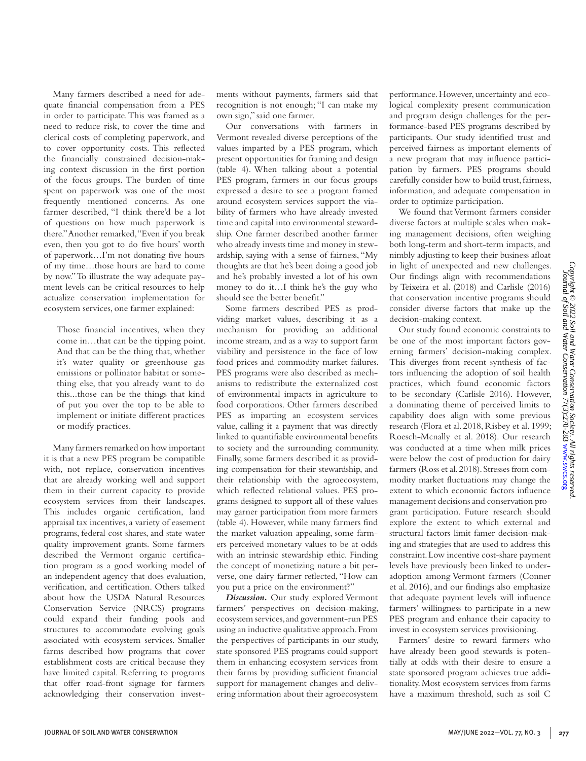logical complexity present communication and program design challenges for the performance-based PES programs described by participants. Our study identified trust and

perceived fairness as important elements of a new program that may influence participation by farmers. PES programs should carefully consider how to build trust, fairness, information, and adequate compensation in order to optimize participation. We found that Vermont farmers consider diverse factors at multiple scales when making management decisions, often weighing both long-term and short-term impacts, and nimbly adjusting to keep their business afloat in light of unexpected and new challenges. Our findings align with recommendations by Teixeira et al. (2018) and Carlisle (2016) that conservation incentive programs should consider diverse factors that make up the decision-making context. Our study found economic constraints to be one of the most important factors gov-

performance. However, uncertainty and eco-

erning farmers' decision-making complex. This diverges from recent synthesis of factors influencing the adoption of soil health practices, which found economic factors to be secondary (Carlisle 2016). However, a dominating theme of perceived limits to capability does align with some previous research (Flora et al. 2018, Risbey et al. 1999; Roesch-Mcnally et al. 2018). Our research was conducted at a time when milk prices were below the cost of production for dairy farmers (Ross et al. 2018). Stresses from commodity market fluctuations may change the extent to which economic factors influence management decisions and conservation program participation. Future research should explore the extent to which external and structural factors limit famer decision-making and strategies that are used to address this constraint. Low incentive cost-share payment levels have previously been linked to underadoption among Vermont farmers (Conner et al. 2016), and our findings also emphasize that adequate payment levels will influence farmers' willingness to participate in a new PES program and enhance their capacity to invest in ecosystem services provisioning.

Farmers' desire to reward farmers who have already been good stewards is potentially at odds with their desire to ensure a state sponsored program achieves true additionality. Most ecosystem services from farms have a maximum threshold, such as soil C

Many farmers described a need for adequate financial compensation from a PES in order to participate. This was framed as a need to reduce risk, to cover the time and clerical costs of completing paperwork, and to cover opportunity costs. This reflected the financially constrained decision-making context discussion in the first portion of the focus groups. The burden of time spent on paperwork was one of the most frequently mentioned concerns. As one farmer described, "I think there'd be a lot of questions on how much paperwork is there." Another remarked, "Even if you break even, then you got to do five hours' worth of paperwork…I'm not donating five hours of my time…those hours are hard to come by now." To illustrate the way adequate payment levels can be critical resources to help actualize conservation implementation for ecosystem services, one farmer explained:

Those financial incentives, when they come in…that can be the tipping point. And that can be the thing that, whether it's water quality or greenhouse gas emissions or pollinator habitat or something else, that you already want to do this...those can be the things that kind of put you over the top to be able to implement or initiate different practices or modify practices.

Many farmers remarked on how important it is that a new PES program be compatible with, not replace, conservation incentives that are already working well and support them in their current capacity to provide ecosystem services from their landscapes. This includes organic certification, land appraisal tax incentives, a variety of easement programs, federal cost shares, and state water quality improvement grants. Some farmers described the Vermont organic certification program as a good working model of an independent agency that does evaluation, verification, and certification. Others talked about how the USDA Natural Resources Conservation Service (NRCS) programs could expand their funding pools and structures to accommodate evolving goals associated with ecosystem services. Smaller farms described how programs that cover establishment costs are critical because they have limited capital. Referring to programs that offer road-front signage for farmers acknowledging their conservation investments without payments, farmers said that recognition is not enough; "I can make my own sign," said one farmer.

Our conversations with farmers in Vermont revealed diverse perceptions of the values imparted by a PES program, which present opportunities for framing and design (table 4). When talking about a potential PES program, farmers in our focus groups expressed a desire to see a program framed around ecosystem services support the viability of farmers who have already invested time and capital into environmental stewardship. One farmer described another farmer who already invests time and money in stewardship, saying with a sense of fairness, "My thoughts are that he's been doing a good job and he's probably invested a lot of his own money to do it…I think he's the guy who should see the better benefit."

Some farmers described PES as prodviding market values, describing it as a mechanism for providing an additional income stream, and as a way to support farm viability and persistence in the face of low food prices and commodity market failures. PES programs were also described as mechanisms to redistribute the externalized cost of environmental impacts in agriculture to food corporations. Other farmers described PES as imparting an ecosystem services value, calling it a payment that was directly linked to quantifiable environmental benefits to society and the surrounding community. Finally, some farmers described it as providing compensation for their stewardship, and their relationship with the agroecosystem, which reflected relational values. PES programs designed to support all of these values may garner participation from more farmers (table 4). However, while many farmers find the market valuation appealing, some farmers perceived monetary values to be at odds with an intrinsic stewardship ethic. Finding the concept of monetizing nature a bit perverse, one dairy farmer reflected, "How can you put a price on the environment?"

*Discussion.* Our study explored Vermont farmers' perspectives on decision-making, ecosystem services, and government-run PES using an inductive qualitative approach. From the perspectives of participants in our study, state sponsored PES programs could support them in enhancing ecosystem services from their farms by providing sufficient financial support for management changes and delivering information about their agroecosystem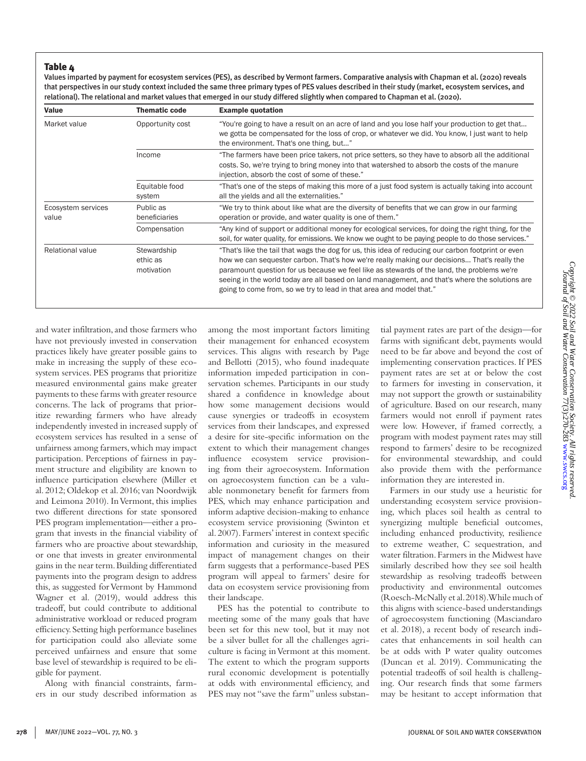## Table 4

Values imparted by payment for ecosystem services (PES), as described by Vermont farmers. Comparative analysis with Chapman et al. (2020) reveals that perspectives in our study context included the same three primary types of PES values described in their study (market, ecosystem services, and relational). The relational and market values that emerged in our study differed slightly when compared to Chapman et al. (2020).

| Value                       | <b>Thematic code</b>                  | <b>Example quotation</b>                                                                                                                                                                                                                                                                                                                                                                                                                                                 |  |
|-----------------------------|---------------------------------------|--------------------------------------------------------------------------------------------------------------------------------------------------------------------------------------------------------------------------------------------------------------------------------------------------------------------------------------------------------------------------------------------------------------------------------------------------------------------------|--|
| Market value                | Opportunity cost                      | "You're going to have a result on an acre of land and you lose half your production to get that<br>we gotta be compensated for the loss of crop, or whatever we did. You know, I just want to help<br>the environment. That's one thing, but"                                                                                                                                                                                                                            |  |
|                             | Income                                | "The farmers have been price takers, not price setters, so they have to absorb all the additional<br>costs. So, we're trying to bring money into that watershed to absorb the costs of the manure<br>injection, absorb the cost of some of these."                                                                                                                                                                                                                       |  |
|                             | Equitable food<br>system              | "That's one of the steps of making this more of a just food system is actually taking into account<br>all the yields and all the externalities."                                                                                                                                                                                                                                                                                                                         |  |
| Ecosystem services<br>value | Public as<br>beneficiaries            | "We try to think about like what are the diversity of benefits that we can grow in our farming<br>operation or provide, and water quality is one of them."                                                                                                                                                                                                                                                                                                               |  |
|                             | Compensation                          | "Any kind of support or additional money for ecological services, for doing the right thing, for the<br>soil, for water quality, for emissions. We know we ought to be paying people to do those services."                                                                                                                                                                                                                                                              |  |
| <b>Relational value</b>     | Stewardship<br>ethic as<br>motivation | "That's like the tail that wags the dog for us, this idea of reducing our carbon footprint or even<br>how we can sequester carbon. That's how we're really making our decisions That's really the<br>paramount question for us because we feel like as stewards of the land, the problems we're<br>seeing in the world today are all based on land management, and that's where the solutions are<br>going to come from, so we try to lead in that area and model that." |  |

and water infiltration, and those farmers who have not previously invested in conservation practices likely have greater possible gains to make in increasing the supply of these ecosystem services. PES programs that prioritize measured environmental gains make greater payments to these farms with greater resource concerns. The lack of programs that prioritize rewarding farmers who have already independently invested in increased supply of ecosystem services has resulted in a sense of unfairness among farmers, which may impact participation. Perceptions of fairness in payment structure and eligibility are known to influence participation elsewhere (Miller et al. 2012; Oldekop et al. 2016; van Noordwijk and Leimona 2010). In Vermont, this implies two different directions for state sponsored PES program implementation—either a program that invests in the financial viability of farmers who are proactive about stewardship, or one that invests in greater environmental gains in the near term. Building differentiated payments into the program design to address this, as suggested for Vermont by Hammond Wagner et al. (2019), would address this tradeoff, but could contribute to additional administrative workload or reduced program efficiency. Setting high performance baselines for participation could also alleviate some perceived unfairness and ensure that some base level of stewardship is required to be eligible for payment.

Along with financial constraints, farmers in our study described information as among the most important factors limiting their management for enhanced ecosystem services. This aligns with research by Page and Bellotti (2015), who found inadequate information impeded participation in conservation schemes. Participants in our study shared a confidence in knowledge about how some management decisions would cause synergies or tradeoffs in ecosystem services from their landscapes, and expressed a desire for site-specific information on the extent to which their management changes influence ecosystem service provisioning from their agroecosystem. Information on agroecosystem function can be a valuable nonmonetary benefit for farmers from PES, which may enhance participation and inform adaptive decision-making to enhance ecosystem service provisioning (Swinton et al. 2007). Farmers' interest in context specific information and curiosity in the measured impact of management changes on their farm suggests that a performance-based PES program will appeal to farmers' desire for data on ecosystem service provisioning from their landscape.

PES has the potential to contribute to meeting some of the many goals that have been set for this new tool, but it may not be a silver bullet for all the challenges agriculture is facing in Vermont at this moment. The extent to which the program supports rural economic development is potentially at odds with environmental efficiency, and PES may not "save the farm" unless substantial payment rates are part of the design—for farms with significant debt, payments would need to be far above and beyond the cost of implementing conservation practices. If PES payment rates are set at or below the cost to farmers for investing in conservation, it may not support the growth or sustainability of agriculture. Based on our research, many farmers would not enroll if payment rates were low. However, if framed correctly, a program with modest payment rates may still respond to farmers' desire to be recognized for environmental stewardship, and could also provide them with the performance information they are interested in.

Farmers in our study use a heuristic for understanding ecosystem service provisioning, which places soil health as central to synergizing multiple beneficial outcomes, including enhanced productivity, resilience to extreme weather, C sequestration, and water filtration. Farmers in the Midwest have similarly described how they see soil health stewardship as resolving tradeoffs between productivity and environmental outcomes (Roesch-McNally et al. 2018). While much of this aligns with science-based understandings of agroecosystem functioning (Masciandaro et al. 2018), a recent body of research indicates that enhancements in soil health can be at odds with P water quality outcomes (Duncan et al. 2019). Communicating the potential tradeoffs of soil health is challenging. Our research finds that some farmers may be hesitant to accept information that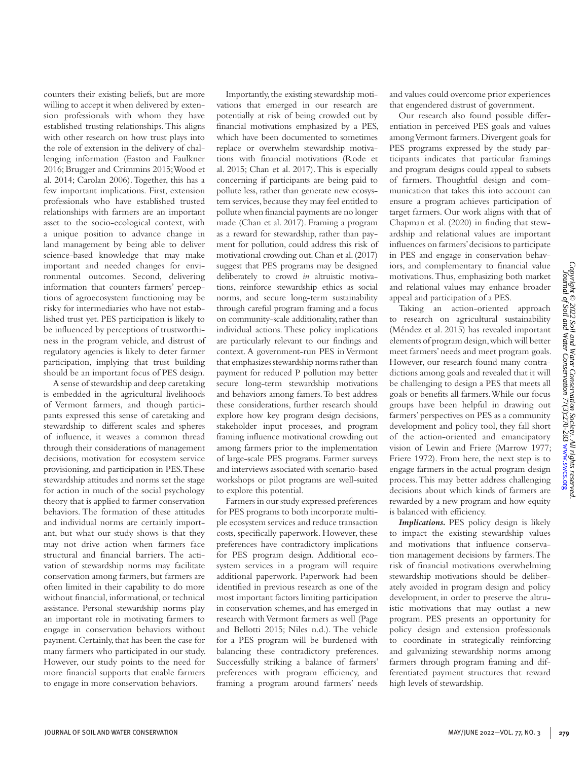counters their existing beliefs, but are more willing to accept it when delivered by extension professionals with whom they have established trusting relationships. This aligns with other research on how trust plays into the role of extension in the delivery of challenging information (Easton and Faulkner 2016; Brugger and Crimmins 2015; Wood et al. 2014; Carolan 2006). Together, this has a few important implications. First, extension professionals who have established trusted relationships with farmers are an important asset to the socio-ecological context, with a unique position to advance change in land management by being able to deliver science-based knowledge that may make important and needed changes for environmental outcomes. Second, delivering information that counters farmers' perceptions of agroecosystem functioning may be risky for intermediaries who have not established trust yet. PES participation is likely to be influenced by perceptions of trustworthiness in the program vehicle, and distrust of regulatory agencies is likely to deter farmer participation, implying that trust building should be an important focus of PES design.

A sense of stewardship and deep caretaking is embedded in the agricultural livelihoods of Vermont farmers, and though participants expressed this sense of caretaking and stewardship to different scales and spheres of influence, it weaves a common thread through their considerations of management decisions, motivation for ecosystem service provisioning, and participation in PES. These stewardship attitudes and norms set the stage for action in much of the social psychology theory that is applied to farmer conservation behaviors. The formation of these attitudes and individual norms are certainly important, but what our study shows is that they may not drive action when farmers face structural and financial barriers. The activation of stewardship norms may facilitate conservation among farmers, but farmers are often limited in their capability to do more without financial, informational, or technical assistance. Personal stewardship norms play an important role in motivating farmers to engage in conservation behaviors without payment. Certainly, that has been the case for many farmers who participated in our study. However, our study points to the need for more financial supports that enable farmers to engage in more conservation behaviors.

Importantly, the existing stewardship motivations that emerged in our research are potentially at risk of being crowded out by financial motivations emphasized by a PES, which have been documented to sometimes replace or overwhelm stewardship motivations with financial motivations (Rode et al. 2015; Chan et al. 2017). This is especially concerning if participants are being paid to pollute less, rather than generate new ecosystem services, because they may feel entitled to pollute when financial payments are no longer made (Chan et al. 2017). Framing a program as a reward for stewardship, rather than payment for pollution, could address this risk of motivational crowding out. Chan et al. (2017) suggest that PES programs may be designed deliberately to crowd *in* altruistic motivations, reinforce stewardship ethics as social norms, and secure long-term sustainability through careful program framing and a focus on community-scale additionality, rather than individual actions. These policy implications are particularly relevant to our findings and context. A government-run PES in Vermont that emphasizes stewardship norms rather than payment for reduced P pollution may better secure long-term stewardship motivations and behaviors among famers. To best address these considerations, further research should explore how key program design decisions, stakeholder input processes, and program framing influence motivational crowding out among farmers prior to the implementation of large-scale PES programs. Farmer surveys and interviews associated with scenario-based workshops or pilot programs are well-suited to explore this potential.

Farmers in our study expressed preferences for PES programs to both incorporate multiple ecosystem services and reduce transaction costs, specifically paperwork. However, these preferences have contradictory implications for PES program design. Additional ecosystem services in a program will require additional paperwork. Paperwork had been identified in previous research as one of the most important factors limiting participation in conservation schemes, and has emerged in research with Vermont farmers as well (Page and Bellotti 2015; Niles n.d.). The vehicle for a PES program will be burdened with balancing these contradictory preferences. Successfully striking a balance of farmers' preferences with program efficiency, and framing a program around farmers' needs

and values could overcome prior experiences that engendered distrust of government.

Our research also found possible differentiation in perceived PES goals and values among Vermont farmers. Divergent goals for PES programs expressed by the study participants indicates that particular framings and program designs could appeal to subsets of farmers. Thoughtful design and communication that takes this into account can ensure a program achieves participation of target farmers. Our work aligns with that of Chapman et al. (2020) in finding that stewardship and relational values are important influences on farmers' decisions to participate in PES and engage in conservation behaviors, and complementary to financial value motivations. Thus, emphasizing both market and relational values may enhance broader appeal and participation of a PES.

Taking an action-oriented approach to research on agricultural sustainability (Méndez et al. 2015) has revealed important elements of program design, which will better meet farmers' needs and meet program goals. However, our research found many contradictions among goals and revealed that it will be challenging to design a PES that meets all goals or benefits all farmers. While our focus groups have been helpful in drawing out farmers' perspectives on PES as a community development and policy tool, they fall short of the action-oriented and emancipatory vision of Lewin and Friere (Marrow 1977; Friere 1972). From here, the next step is to engage farmers in the actual program design process. This may better address challenging decisions about which kinds of farmers are rewarded by a new program and how equity is balanced with efficiency.

*Implications.* PES policy design is likely to impact the existing stewardship values and motivations that influence conservation management decisions by farmers. The risk of financial motivations overwhelming stewardship motivations should be deliberately avoided in program design and policy development, in order to preserve the altruistic motivations that may outlast a new program. PES presents an opportunity for policy design and extension professionals to coordinate in strategically reinforcing and galvanizing stewardship norms among farmers through program framing and differentiated payment structures that reward high levels of stewardship.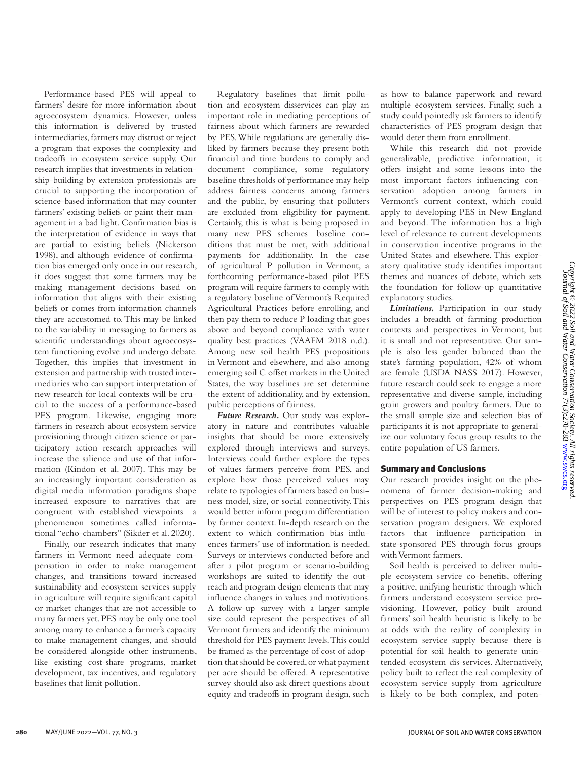Performance-based PES will appeal to farmers' desire for more information about agroecosystem dynamics. However, unless this information is delivered by trusted intermediaries, farmers may distrust or reject a program that exposes the complexity and tradeoffs in ecosystem service supply. Our research implies that investments in relationship-building by extension professionals are crucial to supporting the incorporation of science-based information that may counter farmers' existing beliefs or paint their management in a bad light. Confirmation bias is the interpretation of evidence in ways that are partial to existing beliefs (Nickerson 1998), and although evidence of confirmation bias emerged only once in our research, it does suggest that some farmers may be making management decisions based on information that aligns with their existing beliefs or comes from information channels they are accustomed to. This may be linked to the variability in messaging to farmers as scientific understandings about agroecosystem functioning evolve and undergo debate. Together, this implies that investment in extension and partnership with trusted intermediaries who can support interpretation of new research for local contexts will be crucial to the success of a performance-based PES program. Likewise, engaging more farmers in research about ecosystem service provisioning through citizen science or participatory action research approaches will increase the salience and use of that information (Kindon et al. 2007). This may be an increasingly important consideration as digital media information paradigms shape increased exposure to narratives that are congruent with established viewpoints—a phenomenon sometimes called informational "echo-chambers" (Sikder et al. 2020).

Finally, our research indicates that many farmers in Vermont need adequate compensation in order to make management changes, and transitions toward increased sustainability and ecosystem services supply in agriculture will require significant capital or market changes that are not accessible to many farmers yet. PES may be only one tool among many to enhance a farmer's capacity to make management changes, and should be considered alongside other instruments, like existing cost-share programs, market development, tax incentives, and regulatory baselines that limit pollution.

Regulatory baselines that limit pollution and ecosystem disservices can play an important role in mediating perceptions of fairness about which farmers are rewarded by PES. While regulations are generally disliked by farmers because they present both financial and time burdens to comply and document compliance, some regulatory baseline thresholds of performance may help address fairness concerns among farmers and the public, by ensuring that polluters are excluded from eligibility for payment. Certainly, this is what is being proposed in many new PES schemes—baseline conditions that must be met, with additional payments for additionality. In the case of agricultural P pollution in Vermont, a forthcoming performance-based pilot PES program will require farmers to comply with a regulatory baseline of Vermont's Required Agricultural Practices before enrolling, and then pay them to reduce P loading that goes above and beyond compliance with water quality best practices (VAAFM 2018 n.d.). Among new soil health PES propositions in Vermont and elsewhere, and also among emerging soil C offset markets in the United States, the way baselines are set determine the extent of additionality, and by extension, public perceptions of fairness.

*Future Research.* Our study was exploratory in nature and contributes valuable insights that should be more extensively explored through interviews and surveys. Interviews could further explore the types of values farmers perceive from PES, and explore how those perceived values may relate to typologies of farmers based on business model, size, or social connectivity. This would better inform program differentiation by farmer context. In-depth research on the extent to which confirmation bias influences farmers' use of information is needed. Surveys or interviews conducted before and after a pilot program or scenario-building workshops are suited to identify the outreach and program design elements that may influence changes in values and motivations. A follow-up survey with a larger sample size could represent the perspectives of all Vermont farmers and identify the minimum threshold for PES payment levels. This could be framed as the percentage of cost of adoption that should be covered, or what payment per acre should be offered. A representative survey should also ask direct questions about equity and tradeoffs in program design, such

as how to balance paperwork and reward multiple ecosystem services. Finally, such a study could pointedly ask farmers to identify characteristics of PES program design that would deter them from enrollment.

While this research did not provide generalizable, predictive information, it offers insight and some lessons into the most important factors influencing conservation adoption among farmers in Vermont's current context, which could apply to developing PES in New England and beyond. The information has a high level of relevance to current developments in conservation incentive programs in the United States and elsewhere. This exploratory qualitative study identifies important themes and nuances of debate, which sets the foundation for follow-up quantitative explanatory studies.

*Limitations.* Participation in our study includes a breadth of farming production contexts and perspectives in Vermont, but it is small and not representative. Our sample is also less gender balanced than the state's farming population, 42% of whom are female (USDA NASS 2017). However, future research could seek to engage a more representative and diverse sample, including grain growers and poultry farmers. Due to the small sample size and selection bias of participants it is not appropriate to generalize our voluntary focus group results to the entire population of US farmers.

## Summary and Conclusions

Our research provides insight on the phenomena of farmer decision-making and perspectives on PES program design that will be of interest to policy makers and conservation program designers. We explored factors that influence participation in state-sponsored PES through focus groups with Vermont farmers.

Soil health is perceived to deliver multiple ecosystem service co-benefits, offering a positive, unifying heuristic through which farmers understand ecosystem service provisioning. However, policy built around farmers' soil health heuristic is likely to be at odds with the reality of complexity in ecosystem service supply because there is potential for soil health to generate unintended ecosystem dis-services. Alternatively, policy built to reflect the real complexity of ecosystem service supply from agriculture is likely to be both complex, and poten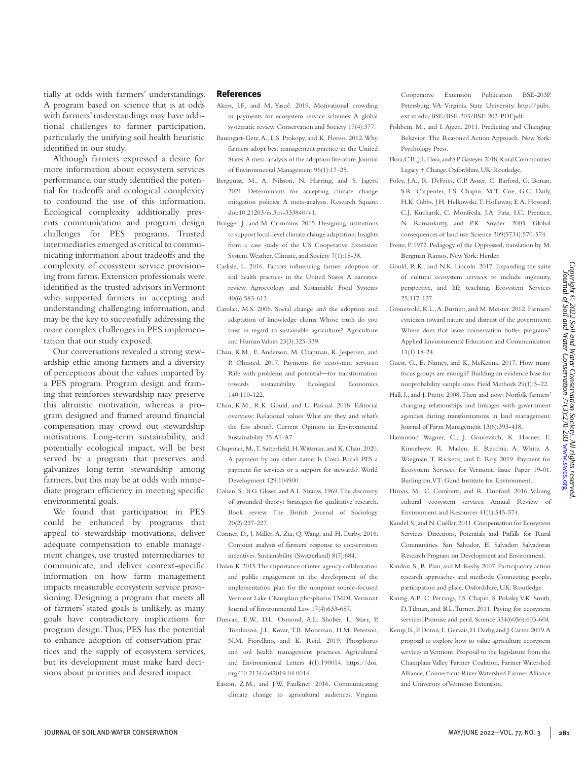tially at odds with farmers' understandings. A program based on science that is at odds with farmers' understandings may have additional challenges to farmer participation, particularly the unifying soil health heuristic identified in our study.

Although farmers expressed a desire for more information about ecosystem services performance, our study identified the potential for tradeoffs and ecological complexity to confound the use of this information. Ecological complexity additionally presents communication and program design challenges for PES programs. Trusted intermediaries emerged as critical to communicating information about tradeoffs and the complexity of ecosystem service provisioning from farms. Extension professionals were identified as the trusted advisors in Vermont who supported farmers in accepting and understanding challenging information, and may be the key to successfully addressing the more complex challenges in PES implementation that our study exposed.

Our conversations revealed a strong stewardship ethic among farmers and a diversity of perceptions about the values imparted by a PES program. Program design and framing that reinforces stewardship may preserve this altruistic motivation, whereas a program designed and framed around financial compensation may crowd out stewardship motivations. Long-term sustainability, and potentially ecological impact, will be best served by a program that preserves and galvanizes long-term stewardship among farmers, but this may be at odds with immediate program efficiency in meeting specific environmental goals.

We found that participation in PES could be enhanced by programs that appeal to stewardship motivations, deliver adequate compensation to enable management changes, use trusted intermediaries to communicate, and deliver context-specific information on how farm management impacts measurable ecosystem service provisioning. Designing a program that meets all of farmers' stated goals is unlikely, as many goals have contradictory implications for program design. Thus, PES has the potential to enhance adoption of conservation practices and the supply of ecosystem services, but its development must make hard decisions about priorities and desired impact.

### References

- Akers, J.F., and M. Yasué. 2019. Motivational crowding in payments for ecosystem service schemes: A global systematic review. Conservation and Society 17(4):377.
- Baumgart-Getz, A., L.S. Prokopy, and K. Floress. 2012. Why farmers adopt best management practice in the United States: A meta-analysis of the adoption literature. Journal of Environmental Management 96(1):17–25.
- Bergquist, M., A. Nilsson, N. Harring, and S. Jagers. 2021. Determinants for accepting climate change mitigation policies: A meta-analysis. Research Square. doi:10.21203/rs.3.rs-333840/v1.
- Brugger, J., and M. Crimmins. 2015. Designing institutions to support local-level climate change adaptation: Insights from a case study of the US Cooperative Extension System. Weather, Climate, and Society 7(1):18-38.
- Carlisle, L. 2016. Factors influencing farmer adoption of soil health practices in the United States: A narrative review. Agroecology and Sustainable Food Systems 40(6):583-613.
- Carolan, M.S. 2006. Social change and the adoption and adaptation of knowledge claims: Whose truth do you trust in regard to sustainable agriculture?. Agriculture and Human Values 23(3):325-339.
- Chan, K.M., E. Anderson, M. Chapman, K. Jespersen, and P. Olmsted. 2017. Payments for ecosystem services: Rife with problems and potential—for transformation towards sustainability. Ecological Economics 140:110-122.
- Chan, K.M., R.K. Gould, and U. Pascual. 2018. Editorial overview: Relational values: What are they, and what's the fuss about?. Current Opinion in Environmental Sustainability 35:A1-A7.
- Chapman, M., T. Satterfield, H. Wittman, and K. Chan. 2020. A payment by any other name: Is Costa Rica's PES a payment for services or a support for stewards?. World Development 129:104900.
- Cohen, S., B.G. Glaser, and A.L. Strauss. 1969. The discovery of grounded theory: Strategies for qualitative research. Book review. The British Journal of Sociology 20(2):227-227.
- Conner, D., J. Miller, A. Zia, Q. Wang, and H. Darby. 2016. Conjoint analysis of farmers' response to conservation incentives. Sustainability (Switzerland) 8(7):684.
- Dolan, K. 2015. The importance of inter-agency collaboration and public engagement in the development of the implementation plan for the nonpoint source-focused Vermont Lake Champlain phosphorus TMDL. Vermont Journal of Environmental Law 17(4):633-687.
- Duncan, E.W., D.L. Osmond, A.L. Shober, L. Starr, P. Tomlinson, J.L. Kovar, T.B. Moorman, H.M. Peterson, N.M. Fiorellino, and K. Reid. 2019. Phosphorus and soil health management practices. Agricultural and Environmental Letters 4(1):190014. https://doi. org/10.2134/ael2019.04.0014.
- Easton, Z.M., and J.W. Faulkner. 2016. Communicating climate change to agricultural audiences. Virginia

Cooperative Extension Publication BSE-203P. Petersburg, VA: Virginia State University. http://pubs. ext.vt.edu/BSE/BSE-203/BSE-203-PDF.pdf.

- Fishbein, M., and I. Ajzen. 2011. Predicting and Changing Behavior: The Reasoned Action Approach. New York: Psychology Press.
- Flora, C.B., J.L. Flora, and S.P. Gasteyer. 2018. Rural Communities: Legacy + Change. Oxfordshire, UK: Routledge.
- Foley, J.A., R. DeFries, G.P. Asner, C. Barford, G. Bonan, S.R. Carpenter, F.S. Chapin, M.T. Coe, G.C. Daily, H.K. Gibbs, J.H. Helkowski, T. Holloway, E.A. Howard, C.J. Kucharik, C. Monfreda, J.A. Patz, I.C. Prentice, N. Ramankutty, and P.K. Snyder. 2005. Global consequences of land use. Science 309(5734):570-574.
- Freire, P. 1972. Pedagogy of the Oppressed, translation by M. Bergman Ramos. New York: Herder.
- Gould, R.K., and N.K. Lincoln. 2017. Expanding the suite of cultural ecosystem services to include ingenuity, perspective, and life teaching. Ecosystem Services 25:117-127.
- Gronewold, K.L., A. Burnett, and M. Meister. 2012. Farmers' cynicism toward nature and distrust of the government: Where does that leave conservation buffer programs? Applied Environmental Education and Communication 11(1):18-24.
- Guest, G., E. Namey, and K. McKenna. 2017. How many focus groups are enough? Building an evidence base for nonprobability sample sizes. Field Methods 29(1):3–22.
- Hall, J., and J. Pretty. 2008. Then and now: Norfolk farmers' changing relationships and linkages with government agencies during transformations in land management. Journal of Farm Management 13(6):393-418.
- Hammond Wagner, C., J. Gourevitch, K. Horner, E. Kinnebrew, R. Maden, E. Recchia, A. White, A. Wiegman, T. Ricketts, and E. Roy. 2019. Payment for Ecosystem Services for Vermont. Issue Paper 19-01. Burlington, VT: Gund Institute for Environment.
- Hirons, M., C. Comberti, and R. Dunford. 2016. Valuing cultural ecosystem services. Annual Review of Environment and Resources 41(1):545-574.
- Kandel, S., and N. Cuéllar. 2011. Compensation for Ecosystem Services: Directions, Potentials and Pitfalls for Rural Communities. San Salvador, El Salvador: Salvadoran Research Program on Development and Environment.
- Kindon, S., R. Pain, and M. Kesby. 2007. Participatory action research approaches and methods: Connecting people, participation and place. Oxfordshire, UK: Routledge.
- Kinzig, A.P., C. Perrings, F.S. Chapin, S. Polasky, V.K. Smith, D. Tilman, and B.L. Turner. 2011. Paying for ecosystem services: Promise and peril. Science 334(6056):603-604.
- Kemp, B., P. Doton, L. Gervais, H. Darby, and J. Carter. 2019. A proposal to explore how to value agriculture ecosystem services in Vermont. Proposal to the legislature from the Champlain Valley Farmer Coalition, Farmer Watershed Alliance, Connecticut River Watershed Farmer Alliance and University of Vermont Extension.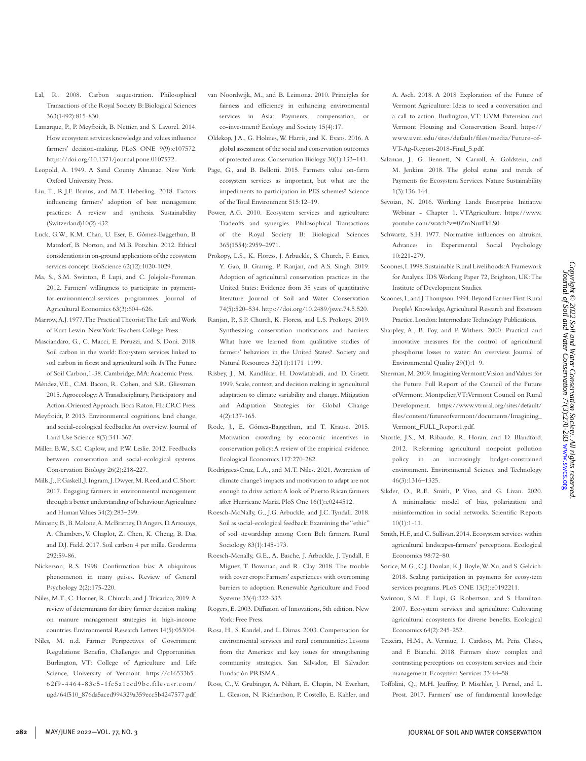VT-Ag-Report-2018-Final\_5.pdf. Salzman, J., G. Bennett, N. Carroll, A. Goldstein, and M. Jenkins. 2018. The global status and trends of Payments for Ecosystem Services. Nature Sustainability Sevoian, N. 2016. Working Lands Enterprise Initiative Webinar - Chapter 1. VTAgriculture. https://www. youtube.com/watch?v=0ZmNuzFkLS0. Schwartz, S.H. 1977. Normative influences on altruism. Advances in Experimental Social Psychology

1(3):136-144.

10:221-279.

A. Asch. 2018. A 2018 Exploration of the Future of Vermont Agriculture: Ideas to seed a conversation and a call to action. Burlington, VT: UVM Extension and Vermont Housing and Conservation Board. https:// www.uvm.edu/sites/default/files/media/Future-of-

- Scoones, I. 1998. Sustainable Rural Livelihoods: A Framework for Analysis. IDS Working Paper 72, Brighton, UK: The Institute of Development Studies.
- Scoones, I., and J. Thompson. 1994. Beyond Farmer First: Rural People's Knowledge, Agricultural Research and Extension Practice. London: Intermediate Technology Publications.
- Sharpley, A., B. Foy, and P. Withers. 2000. Practical and innovative measures for the control of agricultural phosphorus losses to water: An overview. Journal of Environmental Quality 29(1):1–9.
- Sherman, M. 2009. Imagining Vermont: Vision and Values for the Future. Full Report of the Council of the Future of Vermont. Montpelier, VT: Vermont Council on Rural Development. https://www.vtrural.org/sites/default/ files/content/futureofvermont/documents/Imagining\_ Vermont\_FULL\_Report1.pdf.
- Shortle, J.S., M. Ribaudo, R. Horan, and D. Blandford. 2012. Reforming agricultural nonpoint pollution policy in an increasingly budget-constrained environment. Environmental Science and Technology 46(3):1316–1325.
- Sikder, O., R.E. Smith, P. Vivo, and G. Livan. 2020. A minimalistic model of bias, polarization and misinformation in social networks. Scientific Reports 10(1):1-11.
- Smith, H.F., and C. Sullivan. 2014. Ecosystem services within agricultural landscapes-farmers' perceptions. Ecological Economics 98:72–80.
- Sorice, M.G., C.J. Donlan, K.J. Boyle, W. Xu, and S. Gelcich. 2018. Scaling participation in payments for ecosystem services programs. PLoS ONE 13(3):e0192211.
- Swinton, S.M., F. Lupi, G. Robertson, and S. Hamilton. 2007. Ecosystem services and agriculture: Cultivating agricultural ecosystems for diverse benefits. Ecological Economics 64(2):245-252.
- Teixeira, H.M., A. Vermue, I. Cardoso, M. Peña Claros, and F. Bianchi. 2018. Farmers show complex and contrasting perceptions on ecosystem services and their management. Ecosystem Services 33:44–58.
- Toffolini, Q., M.H. Jeuffroy, P. Mischler, J. Pernel, and L. Prost. 2017. Farmers' use of fundamental knowledge
- Lal, R. 2008. Carbon sequestration. Philosophical Transactions of the Royal Society B: Biological Sciences 363(1492):815-830.
- Lamarque, P., P. Meyfroidt, B. Nettier, and S. Lavorel. 2014. How ecosystem services knowledge and values influence farmers' decision-making. PLoS ONE 9(9):e107572. https://doi.org/10.1371/journal.pone.0107572.
- Leopold, A. 1949. A Sand County Almanac. New York: Oxford University Press.
- Liu, T., R.J.F. Bruins, and M.T. Heberling. 2018. Factors influencing farmers' adoption of best management practices: A review and synthesis. Sustainability (Switzerland)10(2):432.
- Luck, G.W., K.M. Chan, U. Eser, E. Gómez-Baggethun, B. Matzdorf, B. Norton, and M.B. Potschin. 2012. Ethical considerations in on-ground applications of the ecosystem services concept. BioScience 62(12):1020-1029.
- Ma, S., S.M. Swinton, F. Lupi, and C. Jolejole-Foreman. 2012. Farmers' willingness to participate in paymentfor-environmental-services programmes. Journal of Agricultural Economics 63(3):604–626.
- Marrow, A.J. 1977. The Practical Theorist: The Life and Work of Kurt Lewin. New York: Teachers College Press.
- Masciandaro, G., C. Macci, E. Peruzzi, and S. Doni. 2018. Soil carbon in the world: Ecosystem services linked to soil carbon in forest and agricultural soils. *In* The Future of Soil Carbon,1-38. Cambridge, MA: Academic Press.
- Méndez, V.E., C.M. Bacon, R. Cohen, and S.R. Gliessman. 2015. Agroecology: A Transdisciplinary, Participatory and Action-Oriented Approach. Boca Raton, FL: CRC Press.
- Meyfroidt, P. 2013. Environmental cognitions, land change, and social-ecological feedbacks: An overview. Journal of Land Use Science 8(3):341-367.
- Miller, B.W., S.C. Caplow, and P.W. Leslie. 2012. Feedbacks between conservation and social-ecological systems. Conservation Biology 26(2):218-227.
- Mills, J., P. Gaskell, J. Ingram, J. Dwyer, M. Reed, and C. Short. 2017. Engaging farmers in environmental management through a better understanding of behaviour. Agriculture and Human Values 34(2):283–299.
- Minasny, B., B. Malone, A. McBratney, D. Angers, D. Arrouays, A. Chambers, V. Chaplot, Z. Chen, K. Cheng, B. Das, and D.J. Field. 2017. Soil carbon 4 per mille. Geoderma 292:59-86.
- Nickerson, R.S. 1998. Confirmation bias: A ubiquitous phenomenon in many guises. Review of General Psychology 2(2):175-220.
- Niles, M.T., C. Horner, R. Chintala, and J. Tricarico, 2019. A review of determinants for dairy farmer decision making on manure management strategies in high-income countries. Environmental Research Letters 14(5):053004.
- Niles, M. n.d. Farmer Perspectives of Government Regulations: Benefits, Challenges and Opportunities. Burlington, VT: College of Agriculture and Life Science, University of Vermont. https://c16533b5- 62f9-4464-83c5-1fc5a1ccd9bc.filesusr.com/ ugd/64f510\_876da5aced994329a359ecc5b4247577.pdf.
- van Noordwijk, M., and B. Leimona. 2010. Principles for fairness and efficiency in enhancing environmental services in Asia: Payments, compensation, or co-investment? Ecology and Society 15(4):17.
- Oldekop, J.A., G. Holmes, W. Harris, and K. Evans. 2016. A global assessment of the social and conservation outcomes of protected areas. Conservation Biology 30(1):133–141.
- Page, G., and B. Bellotti. 2015. Farmers value on-farm ecosystem services as important, but what are the impediments to participation in PES schemes? Science of the Total Environment 515:12–19.
- Power, A.G. 2010. Ecosystem services and agriculture: Tradeoffs and synergies. Philosophical Transactions of the Royal Society B: Biological Sciences 365(1554):2959–2971.
- Prokopy, L.S., K. Floress, J. Arbuckle, S. Church, F. Eanes, Y. Gao, B. Gramig, P. Ranjan, and A.S. Singh. 2019. Adoption of agricultural conservation practices in the United States: Evidence from 35 years of quantitative literature. Journal of Soil and Water Conservation 74(5):520–534. https://doi.org/10.2489/jswc.74.5.520.
- Ranjan, P., S.P. Church, K. Floress, and L.S. Prokopy. 2019. Synthesizing conservation motivations and barriers: What have we learned from qualitative studies of farmers' behaviors in the United States?. Society and Natural Resources 32(11):1171–1199.
- Risbey, J., M. Kandlikar, H. Dowlatabadi, and D. Graetz. 1999. Scale, context, and decision making in agricultural adaptation to climate variability and change. Mitigation and Adaptation Strategies for Global Change 4(2):137-165.
- Rode, J., E. Gómez-Baggethun, and T. Krause. 2015. Motivation crowding by economic incentives in conservation policy: A review of the empirical evidence. Ecological Economics 117:270-282.
- Rodríguez-Cruz, L.A., and M.T. Niles. 2021. Awareness of climate change's impacts and motivation to adapt are not enough to drive action: A look of Puerto Rican farmers after Hurricane Maria. PloS One 16(1):e0244512.
- Roesch-McNally, G., J.G. Arbuckle, and J.C. Tyndall. 2018. Soil as social-ecological feedback: Examining the "ethic" of soil stewardship among Corn Belt farmers. Rural Sociology 83(1):145-173.
- Roesch-Mcnally, G.E., A. Basche, J. Arbuckle, J. Tyndall, F. Miguez, T. Bowman, and R. Clay. 2018. The trouble with cover crops: Farmers' experiences with overcoming barriers to adoption. Renewable Agriculture and Food Systems 33(4):322-333.
- Rogers, E. 2003. Diffusion of Innovations, 5th edition. New York: Free Press.
- Rosa, H., S. Kandel, and L. Dimas. 2003. Compensation for environmental services and rural communities: Lessons from the Americas and key issues for strengthening community strategies. San Salvador, El Salvador: Fundación PRISMA.
- Ross, C., V. Grubinger, A. Nihart, E. Chapin, N. Everhart, L. Gleason, N. Richardson, P. Costello, E. Kahler, and